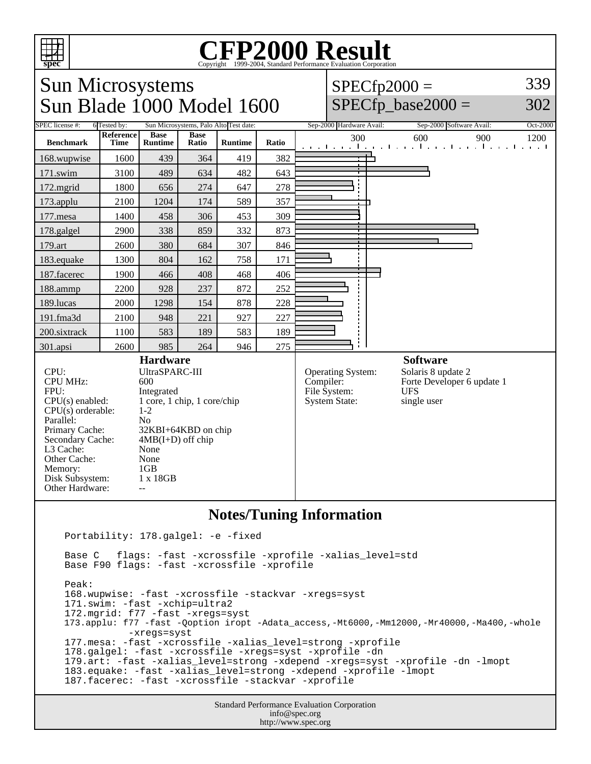

## **CFP2000 Result** Copyright 1999-2004, Standard Performance Evaluation Corporation

Sun Microsystems Sun Blade 1000 Model 1600  $SPECfp2000 =$  $SPECfp\_base2000 =$ 339 302 6 Tested by: Sun Microsystems, Palo Alto Test date: Sep-2000 Hardware Avail: Sep-2000 Software Avail: Oct-2000 **Benchmark Reference Time Base Runtime Base Ratio Runtime Ratio** 300 600 900 1200 168.wupwise 1600 439 364 419 382 171.swim | 3100 | 489 | 634 | 482 | 643 172.mgrid | 1800 | 656 | 274 | 647 | 278 173.applu | 2100 | 1204 | 174 | 589 | 357 177.mesa | 1400 | 458 | 306 | 453 | 309 178.galgel 2900 338 859 332 873 179.art | 2600 | 380 | 684 | 307 | 846 183.equake 1300 804 162 758 171 187.facerec | 1900 | 466 | 408 | 468 | 406 188.ammp | 2200 | 928 | 237 | 872 | 252 189.lucas | 2000 | 1298 | 154 | 878 | 228 191.fma3d 2100 948 221 927 227 200.sixtrack 1100 583 189 583 189 301.apsi 2600 985 264 946 275 **Hardware** CPU: UltraSPARC-III<br>CPU MHz: 600 CPU MHz: FPU: Integrated<br>CPU(s) enabled: 1 core, 1 c  $1$  core,  $1$  chip,  $1$  core/chip  $1-2$  $CPU(s)$  orderable: Parallel: No<br>Primary Cache: 32F 32KBI+64KBD on chip Secondary Cache:  $4MB(I+D)$  off chip L3 Cache: None<br>Other Cache: None Other Cache: None<br>
Memory: 1GB Memory: 1GB<br>Disk Subsystem: 1 x 18GB Disk Subsystem: Other Hardware: **Software** Operating System: Solaris 8 update 2<br>
Compiler: Forte Developer 6 Forte Developer 6 update 1 File System: UFS<br>System State: single user System State:

## **Notes/Tuning Information**

Portability: 178.galgel: -e -fixed

 Base C flags: -fast -xcrossfile -xprofile -xalias\_level=std Base F90 flags: -fast -xcrossfile -xprofile Peak: 168.wupwise: -fast -xcrossfile -stackvar -xregs=syst 171.swim: -fast -xchip=ultra2 172.mgrid: f77 -fast -xregs=syst 173.applu: f77 -fast -Qoption iropt -Adata\_access,-Mt6000,-Mm12000,-Mr40000,-Ma400,-whole -xregs=syst 177.mesa: -fast -xcrossfile -xalias\_level=strong -xprofile 178.galgel: -fast -xcrossfile -xregs=syst -xprofile -dn 179.art: -fast -xalias\_level=strong -xdepend -xregs=syst -xprofile -dn -lmopt 183.equake: -fast -xalias\_level=strong -xdepend -xprofile -lmopt 187.facerec: -fast -xcrossfile -stackvar -xprofile

> Standard Performance Evaluation Corporation info@spec.org http://www.spec.org